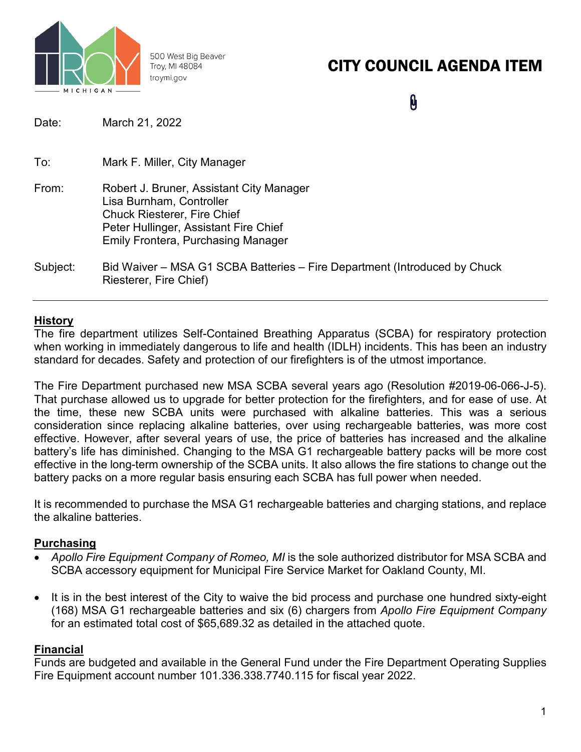

500 West Big Beaver Troy, MI 48084 troymi.gov

# CITY COUNCIL AGENDA ITEM

0

| Date:    | March 21, 2022                                                                                                                                                                                   |
|----------|--------------------------------------------------------------------------------------------------------------------------------------------------------------------------------------------------|
| To:      | Mark F. Miller, City Manager                                                                                                                                                                     |
| From:    | Robert J. Bruner, Assistant City Manager<br>Lisa Burnham, Controller<br><b>Chuck Riesterer, Fire Chief</b><br>Peter Hullinger, Assistant Fire Chief<br><b>Emily Frontera, Purchasing Manager</b> |
| Subject: | Bid Waiver – MSA G1 SCBA Batteries – Fire Department (Introduced by Chuck<br>Riesterer, Fire Chief)                                                                                              |

## **History**

The fire department utilizes Self-Contained Breathing Apparatus (SCBA) for respiratory protection when working in immediately dangerous to life and health (IDLH) incidents. This has been an industry standard for decades. Safety and protection of our firefighters is of the utmost importance.

The Fire Department purchased new MSA SCBA several years ago (Resolution #2019-06-066-J-5). That purchase allowed us to upgrade for better protection for the firefighters, and for ease of use. At the time, these new SCBA units were purchased with alkaline batteries. This was a serious consideration since replacing alkaline batteries, over using rechargeable batteries, was more cost effective. However, after several years of use, the price of batteries has increased and the alkaline battery's life has diminished. Changing to the MSA G1 rechargeable battery packs will be more cost effective in the long-term ownership of the SCBA units. It also allows the fire stations to change out the battery packs on a more regular basis ensuring each SCBA has full power when needed.

It is recommended to purchase the MSA G1 rechargeable batteries and charging stations, and replace the alkaline batteries.

### **Purchasing**

- *Apollo Fire Equipment Company of Romeo, MI* is the sole authorized distributor for MSA SCBA and SCBA accessory equipment for Municipal Fire Service Market for Oakland County, MI.
- It is in the best interest of the City to waive the bid process and purchase one hundred sixty-eight (168) MSA G1 rechargeable batteries and six (6) chargers from *Apollo Fire Equipment Company* for an estimated total cost of \$65,689.32 as detailed in the attached quote.

## **Financial**

Funds are budgeted and available in the General Fund under the Fire Department Operating Supplies Fire Equipment account number 101.336.338.7740.115 for fiscal year 2022.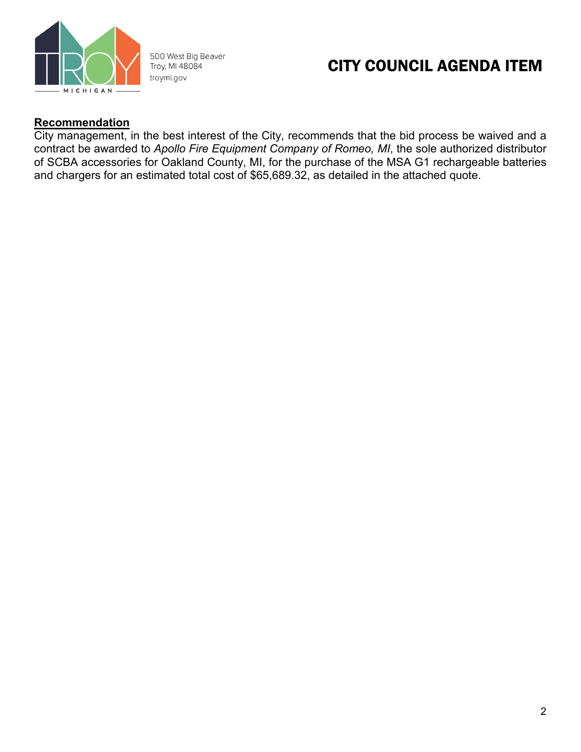

500 West Big Beaver Troy, MI 48084 troymi.gov

# CITY COUNCIL AGENDA ITEM

#### **Recommendation**

City management, in the best interest of the City, recommends that the bid process be waived and a contract be awarded to *Apollo Fire Equipment Company of Romeo, MI*, the sole authorized distributor of SCBA accessories for Oakland County, MI, for the purchase of the MSA G1 rechargeable batteries and chargers for an estimated total cost of \$65,689.32, as detailed in the attached quote.